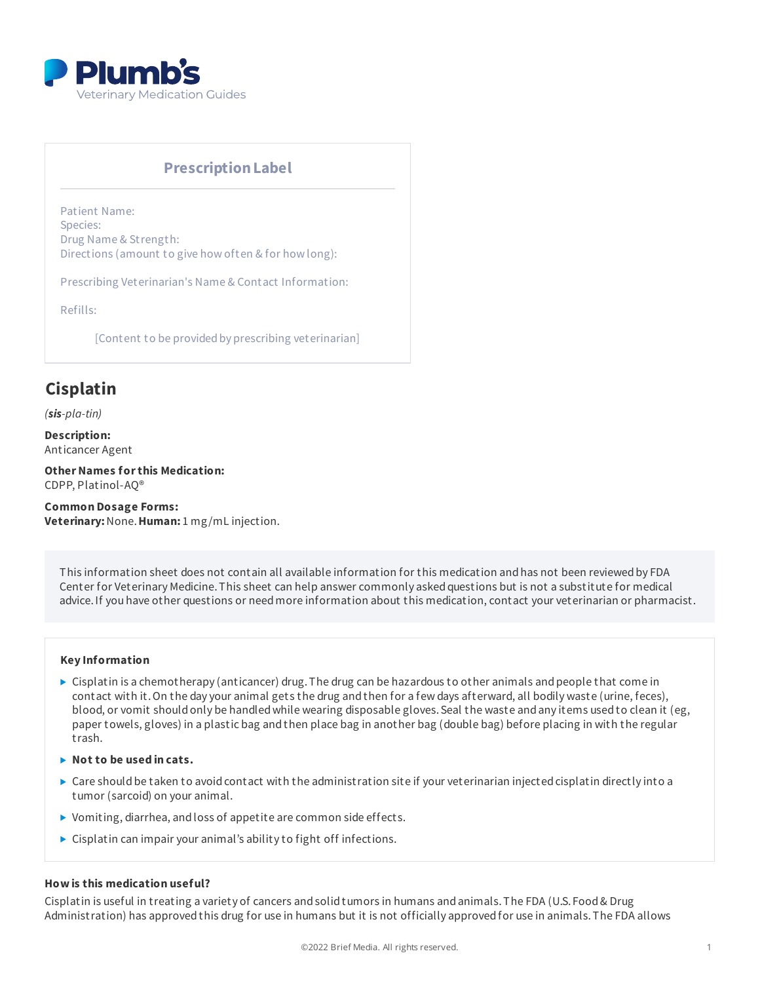

# **PrescriptionLabel**

Patient Name: Species: Drug Name & Strength: Directions (amount to give how often & for how long):

Prescribing Veterinarian's Name & Contact Information:

Refills:

[Content to be provided by prescribing veterinarian]

# **Cisplatin**

*(sis-pla-tin)*

**Description:** Anticancer Agent

**Other Names for this Medication:** CDPP, Platinol-AQ®

**Common Dosage Forms: Veterinary:**None.**Human:** 1 mg/mL injection.

This information sheet does not contain all available information for this medication and has not been reviewed by FDA Center for Veterinary Medicine. This sheet can help answer commonly asked questions but is not a substitute for medical advice.If you have other questions or needmore information about this medication, contact your veterinarian or pharmacist.

#### **Key Information**

- ▶ Cisplatin is a chemotherapy (anticancer) drug. The drug can be hazardous to other animals and people that come in contact with it.On the day your animal gets the drug andthen for a few days afterward, all bodily waste (urine, feces), blood, or vomit should only be handled while wearing disposable gloves. Seal the waste and any items used to clean it (eg, paper towels, gloves) in a plastic bag andthen place bag in another bag (double bag) before placing in with the regular trash.
- **Not to be used in cats.**
- $\triangleright$  Care should be taken to avoid contact with the administration site if your veterinarian injected cisplatin directly into a tumor (sarcoid) on your animal.
- ▶ Vomiting, diarrhea, and loss of appetite are common side effects.
- Cisplatin can impair your animal's ability to fight off infections.

#### **How is this medication useful?**

Cisplatin is useful in treating a variety of cancers andsolidtumors in humans andanimals.The FDA (U.S. Food& Drug Administration) has approvedthis drug for use in humans but it is not officially approvedfor use in animals.The FDA allows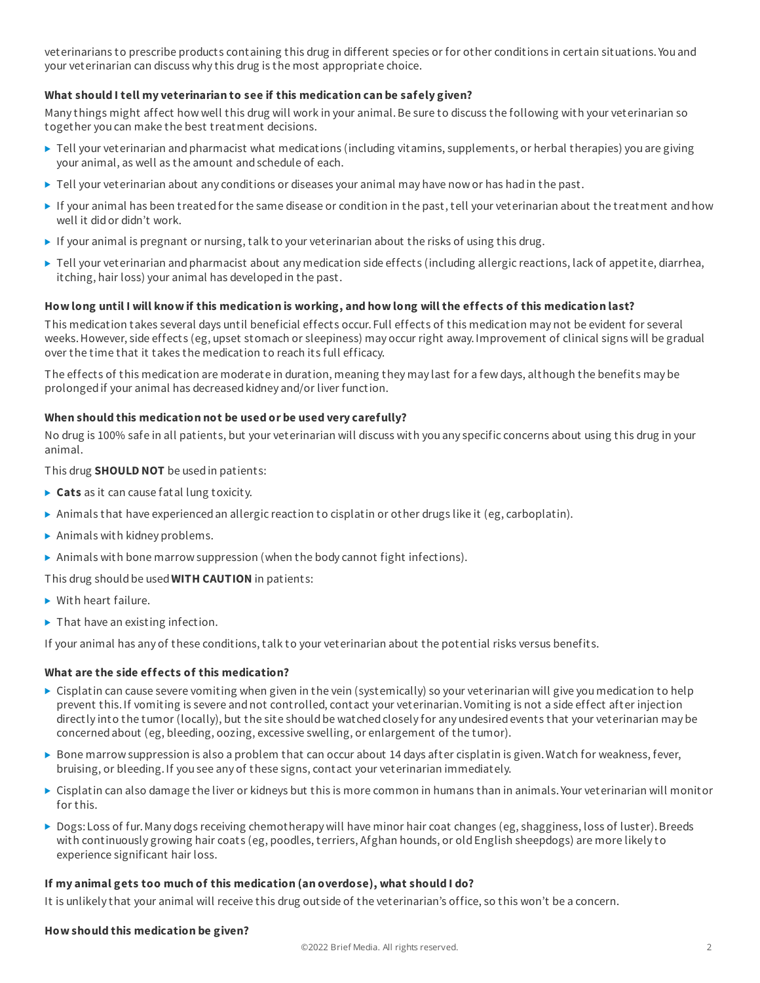veterinarians to prescribe products containing this drug in different species or for other conditions in certain situations. You and your veterinarian can discuss why this drug is the most appropriate choice.

# **What should I tell my veterinarian to see if this medication can be safely given?**

Many things might affect how well this drug will work in your animal.Be sure to discuss the following with your veterinarian so together you can make the best treatment decisions.

- ▶ Tell your veterinarian and pharmacist what medications (including vitamins, supplements, or herbal therapies) you are giving your animal, as well as the amount andschedule of each.
- $\blacktriangleright$  Tell your veterinarian about any conditions or diseases your animal may have now or has had in the past.
- If your animal has been treatedfor the same disease or condition in the past, tell your veterinarian about the treatment andhow well it didor didn't work.
- If your animal is pregnant or nursing, talk to your veterinarian about the risks of using this drug.
- ▶ Tell your veterinarian and pharmacist about any medication side effects (including allergic reactions, lack of appetite, diarrhea, itching, hair loss) your animal has developedin the past.

# How long until I will know if this medication is working, and how long will the effects of this medication last?

This medication takes several days until beneficial effects occur. Full effects of this medication may not be evident for several weeks.However, side effects (eg, upset stomach or sleepiness) may occur right away.Improvement of clinical signs will be gradual over the time that it takes the medication to reach its full efficacy.

The effects of this medication are moderate in duration, meaning they may last for a few days, although the benefits may be prolonged if your animal has decreased kidney and/or liver function.

# **When should this medication not be used or be used very carefully?**

No drug is 100% safe in all patients, but your veterinarian will discuss with you any specific concerns about using this drug in your animal.

This drug **SHOULD NOT** be usedin patients:

- ▶ **Cats** as it can cause fat al lung toxicity.
- Animals that have experienced an allergic reaction to cisplatin or other drugs like it (eg, carboplatin).
- $\blacktriangleright$  Animals with kidney problems.
- $\triangleright$  Animals with bone marrow suppression (when the body cannot fight infections).

This drug shouldbe used**WITH CAUTION** in patients:

- ▶ With heart failure.
- $\blacktriangleright$  That have an existing infection.

If your animal has any of these conditions, talk to your veterinarian about the potential risks versus benefits.

#### **What are the side effects of this medication?**

- Cisplatin can cause severe vomiting when given in the vein (systemically) so your veterinarian will give you medication to help prevent this.If vomiting is severe andnot controlled, contact your veterinarian.Vomiting is not a side effect after injection directly into the tumor (locally), but the site should be watched closely for any undesired events that your veterinarian may be concernedabout (eg, bleeding, oozing, excessive swelling, or enlargement of the tumor).
- $\triangleright$  Bone marrow suppression is also a problem that can occur about 14 days after cisplatin is given. Watch for weakness, fever, bruising, or bleeding.If you see any of these signs, contact your veterinarian immediately.
- Cisplatin can also damage the liver or kidneys but this is more common in humans than in animals. Your veterinarian will monitor for this.
- ▶ Dogs: Loss of fur. Many dogs receiving chemotherapy will have minor hair coat changes (eg, shagginess, loss of luster). Breeds with continuously growing hair coats (eg, poodles, terriers, Afghan hounds, or oldEnglish sheepdogs) are more likely to experience significant hair loss.

# **If my animal gets too much of this medication (an overdose), what should I do?**

It is unlikely that your animal will receive this drug outside of the veterinarian's office, so this won't be a concern.

#### **How should this medication be given?**